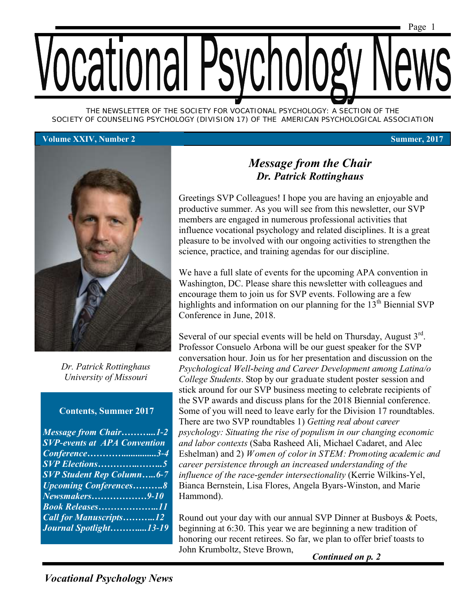

*THE NEWSLETTER OF THE SOCIETY FOR VOCATIONAL PSYCHOLOGY: A SECTION OF THE SOCIETY OF COUNSELING PSYCHOLOGY (DIVISION 17) OF THE AMERICAN PSYCHOLOGICAL ASSOCIATION*

#### **Volume XXIV, Number 2 Summer, 2017**



*Dr. Patrick Rottinghaus University of Missouri*

#### **Contents, Summer 2017**

| <b>Message from Chair1-2</b>        |  |
|-------------------------------------|--|
| <b>SVP-events at APA Convention</b> |  |
| Conference3-4                       |  |
|                                     |  |
| <b>SVP Student Rep Column6-7</b>    |  |
| <b>Upcoming Conferences8</b>        |  |
| Newsmakers9-10                      |  |
| <b>Book Releases11</b>              |  |
| <b>Call for Manuscripts12</b>       |  |
| Journal Spotlight13-19              |  |

### *Message from the Chair Dr. Patrick Rottinghaus*

Greetings SVP Colleagues! I hope you are having an enjoyable and productive summer. As you will see from this newsletter, our SVP members are engaged in numerous professional activities that influence vocational psychology and related disciplines. It is a great pleasure to be involved with our ongoing activities to strengthen the science, practice, and training agendas for our discipline.

We have a full slate of events for the upcoming APA convention in Washington, DC. Please share this newsletter with colleagues and encourage them to join us for SVP events. Following are a few highlights and information on our planning for the  $13<sup>th</sup>$  Biennial SVP Conference in June, 2018.

Several of our special events will be held on Thursday, August  $3<sup>rd</sup>$ . Professor Consuelo Arbona will be our guest speaker for the SVP conversation hour. Join us for her presentation and discussion on the *Psychological Well-being and Career Development among Latina/o College Students*. Stop by our graduate student poster session and stick around for our SVP business meeting to celebrate recipients of the SVP awards and discuss plans for the 2018 Biennial conference. Some of you will need to leave early for the Division 17 roundtables. There are two SVP roundtables 1) *Getting real about career psychology: Situating the rise of populism in our changing economic and labor contexts* (Saba Rasheed Ali, Michael Cadaret, and Alec Eshelman) and 2) *Women of color in STEM: Promoting academic and career persistence through an increased understanding of the influence of the race-gender intersectionality* (Kerrie Wilkins-Yel, Bianca Bernstein, Lisa Flores, Angela Byars-Winston, and Marie Hammond).

Round out your day with our annual SVP Dinner at Busboys & Poets, beginning at 6:30. This year we are beginning a new tradition of honoring our recent retirees. So far, we plan to offer brief toasts to John Krumboltz, Steve Brown,

*Continued on p. 2*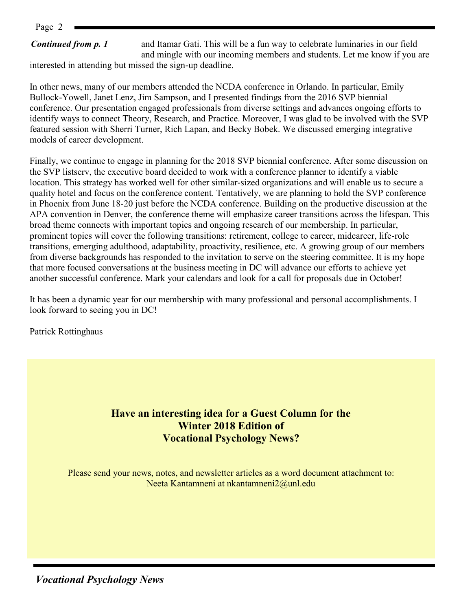Page 2

#### *Continued from p. 1*

and Itamar Gati. This will be a fun way to celebrate luminaries in our field and mingle with our incoming members and students. Let me know if you are

interested in attending but missed the sign-up deadline.

In other news, many of our members attended the NCDA conference in Orlando. In particular, Emily Bullock-Yowell, Janet Lenz, Jim Sampson, and I presented findings from the 2016 SVP biennial conference. Our presentation engaged professionals from diverse settings and advances ongoing efforts to identify ways to connect Theory, Research, and Practice. Moreover, I was glad to be involved with the SVP featured session with Sherri Turner, Rich Lapan, and Becky Bobek. We discussed emerging integrative models of career development.

Finally, we continue to engage in planning for the 2018 SVP biennial conference. After some discussion on the SVP listserv, the executive board decided to work with a conference planner to identify a viable location. This strategy has worked well for other similar-sized organizations and will enable us to secure a quality hotel and focus on the conference content. Tentatively, we are planning to hold the SVP conference in Phoenix from June 18-20 just before the NCDA conference. Building on the productive discussion at the APA convention in Denver, the conference theme will emphasize career transitions across the lifespan. This broad theme connects with important topics and ongoing research of our membership. In particular, prominent topics will cover the following transitions: retirement, college to career, midcareer, life-role transitions, emerging adulthood, adaptability, proactivity, resilience, etc. A growing group of our members from diverse backgrounds has responded to the invitation to serve on the steering committee. It is my hope that more focused conversations at the business meeting in DC will advance our efforts to achieve yet another successful conference. Mark your calendars and look for a call for proposals due in October!

It has been a dynamic year for our membership with many professional and personal accomplishments. I look forward to seeing you in DC!

Patrick Rottinghaus

#### **Have an interesting idea for a Guest Column for the Winter 2018 Edition of Vocational Psychology News?**

Please send your news, notes, and newsletter articles as a word document attachment to: Neeta Kantamneni at nkantamneni2@unl.edu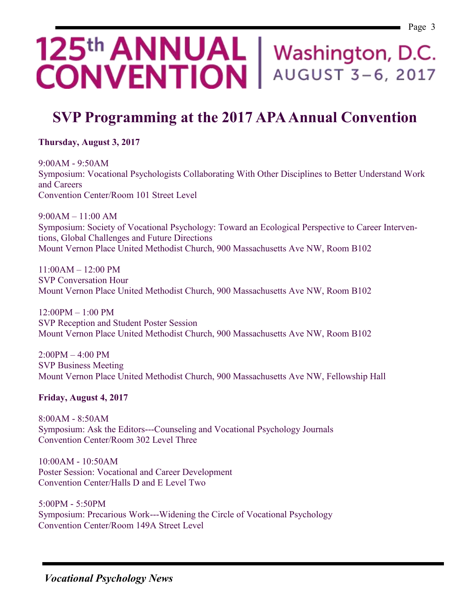# 125<sup>th</sup> ANNUAL | Washington, D.C. **CONVENTION |** AUGUST 3-6, 2017

# **SVP Programming at the 2017 APA Annual Convention**

**Thursday, August 3, 2017**

9:00AM - 9:50AM Symposium: [Vocational Psychologists Collaborating With Other Disciplines to Better Understand Work](javascript:WebForm_DoPostBackWithOptions(new%20WebForm_PostBackOptions(%22gridViewResultSession$ctl06$linkButtonSessionTitle%22,%20%22%22,%20true,%20%22%22,%20%22%22,%20false,%20true)))  [and Careers](javascript:WebForm_DoPostBackWithOptions(new%20WebForm_PostBackOptions(%22gridViewResultSession$ctl06$linkButtonSessionTitle%22,%20%22%22,%20true,%20%22%22,%20%22%22,%20false,%20true))) Convention Center/Room 101 Street Level

9:00AM – 11:00 AM Symposium: Society of Vocational Psychology: Toward an Ecological Perspective to Career Interventions, Global Challenges and Future Directions Mount Vernon Place United Methodist Church, 900 Massachusetts Ave NW, Room B102

 $11:00AM - 12:00 PM$ SVP Conversation Hour Mount Vernon Place United Methodist Church, 900 Massachusetts Ave NW, Room B102

12:00PM – 1:00 PM SVP Reception and Student Poster Session Mount Vernon Place United Methodist Church, 900 Massachusetts Ave NW, Room B102

2:00PM – 4:00 PM SVP Business Meeting Mount Vernon Place United Methodist Church, 900 Massachusetts Ave NW, Fellowship Hall

**Friday, August 4, 2017**

8:00AM - 8:50AM Symposium: [Ask the Editors---Counseling and Vocational Psychology Journals](javascript:WebForm_DoPostBackWithOptions(new%20WebForm_PostBackOptions(%22gridViewResultSession$ctl03$linkButtonSessionTitle%22,%20%22%22,%20true,%20%22%22,%20%22%22,%20false,%20true))) Convention Center/Room 302 Level Three

10:00AM - 10:50AM Poster Session: [Vocational and Career Development](javascript:WebForm_DoPostBackWithOptions(new%20WebForm_PostBackOptions(%22gridViewResultSession$ctl05$linkButtonSessionTitle%22,%20%22%22,%20true,%20%22%22,%20%22%22,%20false,%20true))) Convention Center/Halls D and E Level Two

5:00PM - 5:50PM Symposium: [Precarious Work---Widening the Circle of Vocational Psychology](javascript:WebForm_DoPostBackWithOptions(new%20WebForm_PostBackOptions(%22gridViewResultSession$ctl04$linkButtonSessionTitle%22,%20%22%22,%20true,%20%22%22,%20%22%22,%20false,%20true))) Convention Center/Room 149A Street Level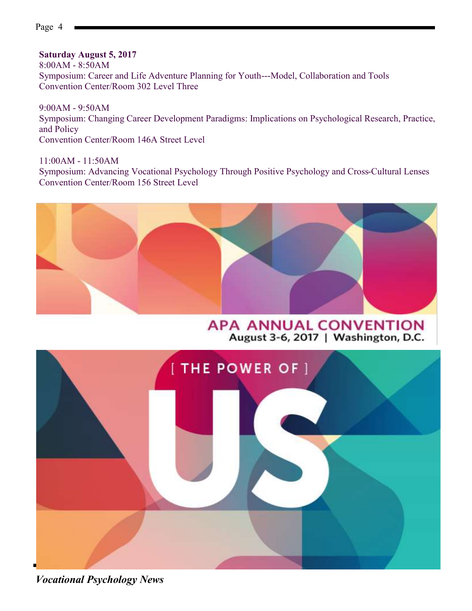**Saturday August 5, 2017**

8:00AM - 8:50AM Symposium: [Career and Life Adventure Planning for Youth---Model, Collaboration and Tools](javascript:WebForm_DoPostBackWithOptions(new%20WebForm_PostBackOptions(%22gridViewResultSession$ctl06$linkButtonSessionTitle%22,%20%22%22,%20true,%20%22%22,%20%22%22,%20false,%20true))) Convention Center/Room 302 Level Three

9:00AM - 9:50AM Symposium: [Changing Career Development Paradigms: Implications on Psychological Research, Practice,](javascript:WebForm_DoPostBackWithOptions(new%20WebForm_PostBackOptions(%22gridViewResultSession$ctl08$linkButtonSessionTitle%22,%20%22%22,%20true,%20%22%22,%20%22%22,%20false,%20true)))  [and Policy](javascript:WebForm_DoPostBackWithOptions(new%20WebForm_PostBackOptions(%22gridViewResultSession$ctl08$linkButtonSessionTitle%22,%20%22%22,%20true,%20%22%22,%20%22%22,%20false,%20true))) Convention Center/Room 146A Street Level

11:00AM - 11:50AM Symposium: [Advancing Vocational Psychology Through Positive Psychology and Cross-Cultural Lenses](javascript:WebForm_DoPostBackWithOptions(new%20WebForm_PostBackOptions(%22gridViewResultSession$ctl02$linkButtonSessionTitle%22,%20%22%22,%20true,%20%22%22,%20%22%22,%20false,%20true))) Convention Center/Room 156 Street Level



**APA ANNUAL CONVENTION** August 3-6, 2017 | Washington, D.C.



*Vocational Psychology News*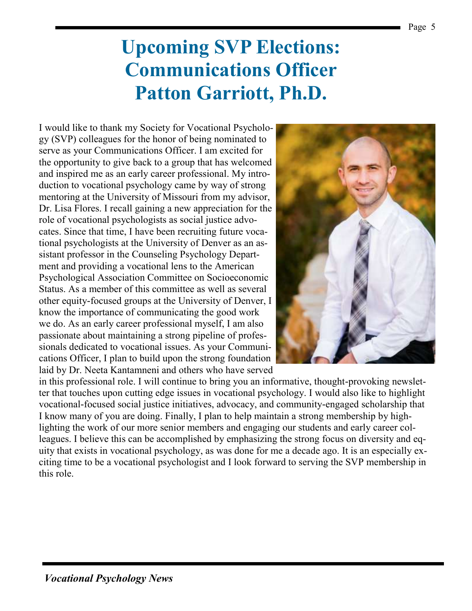# **Upcoming SVP Elections: Communications Officer Patton Garriott, Ph.D.**

I would like to thank my Society for Vocational Psychology (SVP) colleagues for the honor of being nominated to serve as your Communications Officer. I am excited for the opportunity to give back to a group that has welcomed and inspired me as an early career professional. My introduction to vocational psychology came by way of strong mentoring at the University of Missouri from my advisor, Dr. Lisa Flores. I recall gaining a new appreciation for the role of vocational psychologists as social justice advocates. Since that time, I have been recruiting future vocational psychologists at the University of Denver as an assistant professor in the Counseling Psychology Department and providing a vocational lens to the American Psychological Association Committee on Socioeconomic Status. As a member of this committee as well as several other equity-focused groups at the University of Denver, I know the importance of communicating the good work we do. As an early career professional myself, I am also passionate about maintaining a strong pipeline of professionals dedicated to vocational issues. As your Communications Officer, I plan to build upon the strong foundation laid by Dr. Neeta Kantamneni and others who have served



in this professional role. I will continue to bring you an informative, thought-provoking newsletter that touches upon cutting edge issues in vocational psychology. I would also like to highlight vocational-focused social justice initiatives, advocacy, and community-engaged scholarship that I know many of you are doing. Finally, I plan to help maintain a strong membership by highlighting the work of our more senior members and engaging our students and early career colleagues. I believe this can be accomplished by emphasizing the strong focus on diversity and equity that exists in vocational psychology, as was done for me a decade ago. It is an especially exciting time to be a vocational psychologist and I look forward to serving the SVP membership in this role.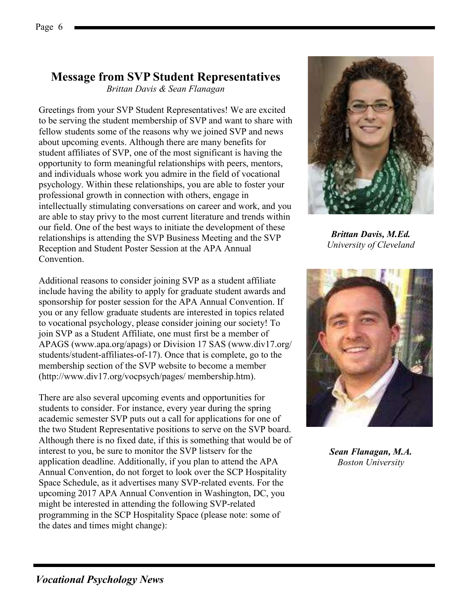## **Message from SVP Student Representatives**

*Brittan Davis & Sean Flanagan* 

Greetings from your SVP Student Representatives! We are excited to be serving the student membership of SVP and want to share with fellow students some of the reasons why we joined SVP and news about upcoming events. Although there are many benefits for student affiliates of SVP, one of the most significant is having the opportunity to form meaningful relationships with peers, mentors, and individuals whose work you admire in the field of vocational psychology. Within these relationships, you are able to foster your professional growth in connection with others, engage in intellectually stimulating conversations on career and work, and you are able to stay privy to the most current literature and trends within our field. One of the best ways to initiate the development of these relationships is attending the SVP Business Meeting and the SVP Reception and Student Poster Session at the APA Annual **Convention** 

Additional reasons to consider joining SVP as a student affiliate include having the ability to apply for graduate student awards and sponsorship for poster session for the APA Annual Convention. If you or any fellow graduate students are interested in topics related to vocational psychology, please consider joining our society! To join SVP as a Student Affiliate, one must first be a member of APAGS (www.apa.org/apags) or Division 17 SAS (www.div17.org/ students/student-affiliates-of-17). Once that is complete, go to the membership section of the SVP website to become a member (http://www.div17.org/vocpsych/pages/ membership.htm).

There are also several upcoming events and opportunities for students to consider. For instance, every year during the spring academic semester SVP puts out a call for applications for one of the two Student Representative positions to serve on the SVP board. Although there is no fixed date, if this is something that would be of interest to you, be sure to monitor the SVP listserv for the application deadline. Additionally, if you plan to attend the APA Annual Convention, do not forget to look over the SCP Hospitality Space Schedule, as it advertises many SVP-related events. For the upcoming 2017 APA Annual Convention in Washington, DC, you might be interested in attending the following SVP-related programming in the SCP Hospitality Space (please note: some of the dates and times might change):



*Brittan Davis, M.Ed. University of Cleveland*



*Sean Flanagan, M.A. Boston University*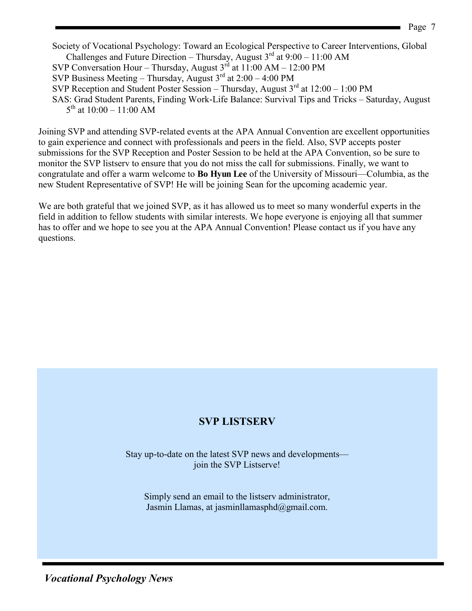Society of Vocational Psychology: Toward an Ecological Perspective to Career Interventions, Global Challenges and Future Direction – Thursday, August  $3^{rd}$  at  $9:00 - 11:00$  AM SVP Conversation Hour – Thursday, August  $3^{rd}$  at 11:00 AM – 12:00 PM SVP Business Meeting – Thursday, August  $3<sup>rd</sup>$  at 2:00 – 4:00 PM

- SVP Reception and Student Poster Session Thursday, August  $3<sup>rd</sup>$  at  $12:00 1:00$  PM
- SAS: Grad Student Parents, Finding Work-Life Balance: Survival Tips and Tricks Saturday, August  $5^{\text{th}}$  at 10:00 – 11:00 AM

Joining SVP and attending SVP-related events at the APA Annual Convention are excellent opportunities to gain experience and connect with professionals and peers in the field. Also, SVP accepts poster submissions for the SVP Reception and Poster Session to be held at the APA Convention, so be sure to monitor the SVP listserv to ensure that you do not miss the call for submissions. Finally, we want to congratulate and offer a warm welcome to **Bo Hyun Lee** of the University of Missouri—Columbia, as the new Student Representative of SVP! He will be joining Sean for the upcoming academic year.

We are both grateful that we joined SVP, as it has allowed us to meet so many wonderful experts in the field in addition to fellow students with similar interests. We hope everyone is enjoying all that summer has to offer and we hope to see you at the APA Annual Convention! Please contact us if you have any questions.

### **SVP LISTSERV**

Stay up-to-date on the latest SVP news and developments join the SVP Listserve!

Simply send an email to the listserv administrator, Jasmin Llamas, at jasminllamasphd@gmail.com.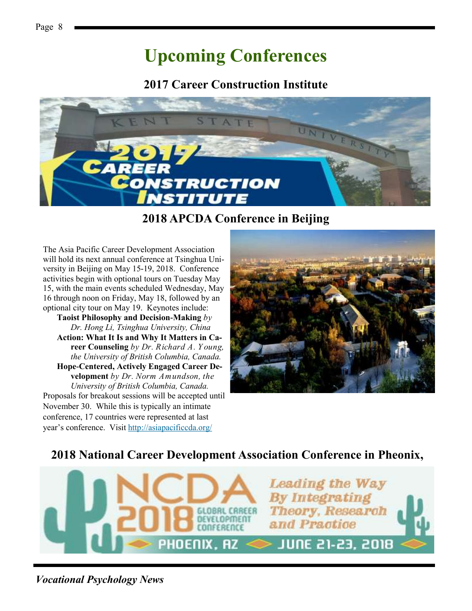# **Upcoming Conferences**

**2017 Career Construction Institute**



**2018 APCDA Conference in Beijing**

The Asia Pacific Career Development Association will hold its next annual conference at Tsinghua University in Beijing on May 15-19, 2018. Conference activities begin with optional tours on Tuesday May 15, with the main events scheduled Wednesday, May 16 through noon on Friday, May 18, followed by an optional city tour on May 19. Keynotes include:

**Taoist Philosophy and Decision-Making** *by Dr. Hong Li, Tsinghua University, China* **Action: What It Is and Why It Matters in Career Counseling** *by Dr. Richard A. Y oung, the University of British Columbia, Canada.* **Hope-Centered, Actively Engaged Career Development** *by Dr. Norm Amundson, the University of British Columbia, Canada.* Proposals for breakout sessions will be accepted until November 30. While this is typically an intimate conference, 17 countries were represented at last year's conference. Visit [http://asiapacificcda.org/](http://asiapacificcda.org/Conference)



### **2018 National Career Development Association Conference in Pheonix,**

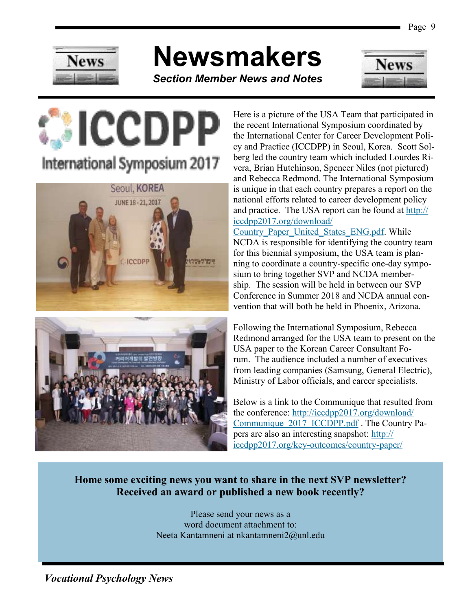

# **Newsmakers**

*Section Member News and Notes*



# **CCDPP** International Symposium 2017





Here is a picture of the USA Team that participated in the recent International Symposium coordinated by the International Center for Career Development Policy and Practice (ICCDPP) in Seoul, Korea. Scott Solberg led the country team which included Lourdes Rivera, Brian Hutchinson, Spencer Niles (not pictured) and Rebecca Redmond. The International Symposium is unique in that each country prepares a report on the national efforts related to career development policy and practice. The USA report can be found at [http://](http://iccdpp2017.org/download/Country_Paper_United_States_ENG.pdf) [iccdpp2017.org/download/](http://iccdpp2017.org/download/Country_Paper_United_States_ENG.pdf)

Country Paper United States ENG.pdf. While NCDA is responsible for identifying the country team for this biennial symposium, the USA team is planning to coordinate a country-specific one-day symposium to bring together SVP and NCDA membership. The session will be held in between our SVP Conference in Summer 2018 and NCDA annual convention that will both be held in Phoenix, Arizona.

Following the International Symposium, Rebecca Redmond arranged for the USA team to present on the USA paper to the Korean Career Consultant Forum. The audience included a number of executives from leading companies (Samsung, General Electric), Ministry of Labor officials, and career specialists.

Below is a link to the Communique that resulted from the conference: [http://iccdpp2017.org/download/](http://iccdpp2017.org/download/Communique_2017_ICCDPP.pdf) Communique 2017 ICCDPP.pdf . The Country Papers are also an interesting snapshot: [http://](http://iccdpp2017.org/key-outcomes/country-paper/) [iccdpp2017.org/key-outcomes/country-paper/](http://iccdpp2017.org/key-outcomes/country-paper/)

#### **Home some exciting news you want to share in the next SVP newsletter? Received an award or published a new book recently?**

Please send your news as a word document attachment to: Neeta Kantamneni at nkantamneni2@unl.edu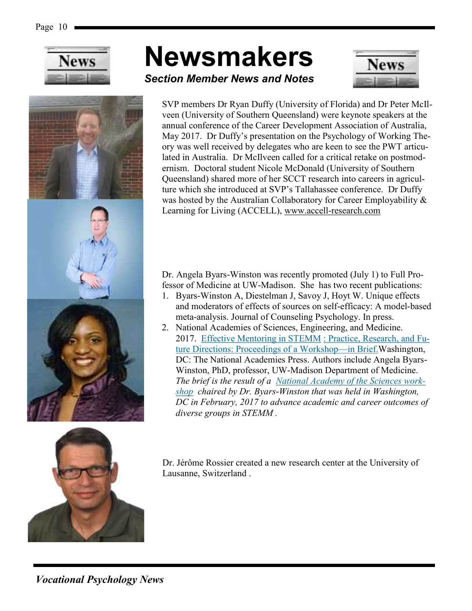





# **Newsmakers**



*Section Member News and Notes*

SVP members Dr Ryan Duffy (University of Florida) and Dr Peter McIlveen (University of Southern Queensland) were keynote speakers at the annual conference of the Career Development Association of Australia, May 2017. Dr Duffy's presentation on the Psychology of Working Theory was well received by delegates who are keen to see the PWT articulated in Australia. Dr McIlveen called for a critical retake on postmodernism. Doctoral student Nicole McDonald (University of Southern Queensland) shared more of her SCCT research into careers in agriculture which she introduced at SVP's Tallahassee conference. Dr Duffy was hosted by the Australian Collaboratory for Career Employability & Learning for Living (ACCELL), [www.accell-research.com](http://www.accell-research.com)

Dr. Angela Byars-Winston was recently promoted (July 1) to Full Professor of Medicine at UW-Madison. She has two recent publications:

- 1. Byars-Winston A, Diestelman J, Savoy J, Hoyt W. Unique effects and moderators of effects of sources on self-efficacy: A model-based meta-analysis. Journal of Counseling Psychology. In press.
- 2. National Academies of Sciences, Engineering, and Medicine. 2017. [Effective Mentoring in STEMM](http://wisc.us7.list-manage.com/track/click?u=1056dbee4ddf1670328db2e5a&id=1b7d288f05&e=358709611a) [: Practice, Research, and Fu](http://wisc.us7.list-manage.com/track/click?u=1056dbee4ddf1670328db2e5a&id=1b7d288f05&e=358709611a)ture Directions: Proceedings of a Workshop—in Brief. Washington, DC: The National Academies Press. Authors include Angela Byars-Winston, PhD, professor, UW-Madison Department of Medicine. *The brief is the result of a [National Academy of the Sciences work](http://wisc.us7.list-manage.com/track/click?u=1056dbee4ddf1670328db2e5a&id=2a7902eff6&e=358709611a)[shop](http://wisc.us7.list-manage.com/track/click?u=1056dbee4ddf1670328db2e5a&id=2a7902eff6&e=358709611a) chaired by Dr. Byars-Winston that was held in Washington, DC in February, 2017 to advance academic and career outcomes of diverse groups in STEMM .*

Dr. Jérôme Rossier created a new research center at the University of Lausanne, Switzerland .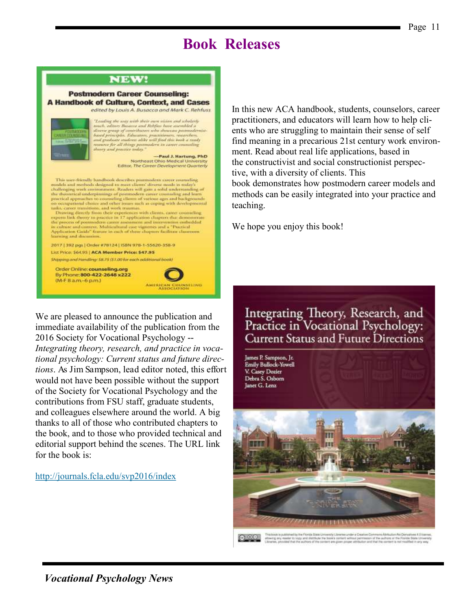# **Book Releases**

#### **NEW!**

#### **Postmodern Career Counseling: A Handbook of Culture, Context, and Cases** edited by Louis A. Busacca and Mark C. Rehfuss  $\label{eq:main} The adding the way with their own vision and scholarly sumch, attract on the network and Refs for the network, and the network is observed, given by the network, and the network is not given by the network, and gradient and gradient of the book is ready results. Each value of the model is to work as many.$ thoury and practice today." -Paul J. Hartung, PhD<br>Northeast Ohio Medical University Editor, The Career Development Quarterly This user-friendly lundbook describes postmodern cancer counseling models and methods designed to meet clients' diverse needs in usday's<br>challenging work environment. Readers will gain a solid understanding of the theoretical underpinnings of protonodern can<br>are commuling and burn practical approaches to counseling chants of various ages and backgrounds on occupational choice and order is<br>may analyze and consequent and conseque Tables, career transforms, and work training and the capacity of the species of the controlling experiments link theory to practice in 17 application chapters that demonstrating experiments are possess of points of the pro learning and discussion. 2017 | 192 pgs | Order #78124 | ISBN 978-1-55620-158-9 List Price: \$64.95 | ACA Member Price: \$47.95 Shawing and Hamilton: \$8.75 (\$1.00 for each additional book) Order Online: counseling.org By Phone: 800-422-2648 x222 (M-F 8 a.m.-6 p.m.) ERICAN COUNSELING

We are pleased to announce the publication and immediate availability of the publication from the 2016 Society for Vocational Psychology -- *Integrating theory, research, and practice in vocational psychology: Current status and future directions*. As Jim Sampson, lead editor noted, this effort would not have been possible without the support of the Society for Vocational Psychology and the contributions from FSU staff, graduate students, and colleagues elsewhere around the world. A big thanks to all of those who contributed chapters to the book, and to those who provided technical and editorial support behind the scenes. The URL link for the book is:

#### <http://journals.fcla.edu/svp2016/index>

In this new ACA handbook, students, counselors, career practitioners, and educators will learn how to help clients who are struggling to maintain their sense of self find meaning in a precarious 21st century work environment. Read about real life applications, based in the constructivist and social constructionist perspective, with a diversity of clients. This book demonstrates how postmodern career models and methods can be easily integrated into your practice and teaching.

We hope you enjoy this book!

Integrating Theory, Research, and<br>Practice in Vocational Psychology: Current Status and Future Directions

James P. Sampson, Jr. **Emily Bullock-Yowell** V. Casey Dozier<br>Debra S. Osborn Janet G. Lenz why'l illenging under a Creative Conmi Athrbutism Aid Oerivan  $64.8.0$  Fm

atterng any reader to sugy and shatthule the bace's content without permission of the authors or the Florida State Univers<br>Silineries, phyvided that the authors of the content are given proper attribution and that the cont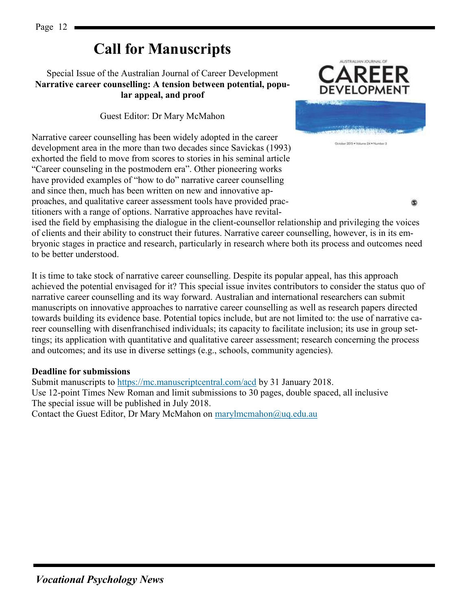# **Call for Manuscripts**

#### Special Issue of the Australian Journal of Career Development **Narrative career counselling: A tension between potential, popular appeal, and proof**

#### Guest Editor: Dr Mary McMahon

Narrative career counselling has been widely adopted in the career development area in the more than two decades since Savickas (1993) exhorted the field to move from scores to stories in his seminal article "Career counseling in the postmodern era". Other pioneering works have provided examples of "how to do" narrative career counselling and since then, much has been written on new and innovative approaches, and qualitative career assessment tools have provided practitioners with a range of options. Narrative approaches have revital-



ග

ised the field by emphasising the dialogue in the client-counsellor relationship and privileging the voices of clients and their ability to construct their futures. Narrative career counselling, however, is in its embryonic stages in practice and research, particularly in research where both its process and outcomes need to be better understood.

It is time to take stock of narrative career counselling. Despite its popular appeal, has this approach achieved the potential envisaged for it? This special issue invites contributors to consider the status quo of narrative career counselling and its way forward. Australian and international researchers can submit manuscripts on innovative approaches to narrative career counselling as well as research papers directed towards building its evidence base. Potential topics include, but are not limited to: the use of narrative career counselling with disenfranchised individuals; its capacity to facilitate inclusion; its use in group settings; its application with quantitative and qualitative career assessment; research concerning the process and outcomes; and its use in diverse settings (e.g., schools, community agencies).

#### **Deadline for submissions**

Submit manuscripts to<https://mc.manuscriptcentral.com/acd> by 31 January 2018. Use 12-point Times New Roman and limit submissions to 30 pages, double spaced, all inclusive The special issue will be published in July 2018. Contact the Guest Editor, Dr Mary McMahon on [marylmcmahon@uq.edu.au](mailto:marylmcmahon@uq.edu.au)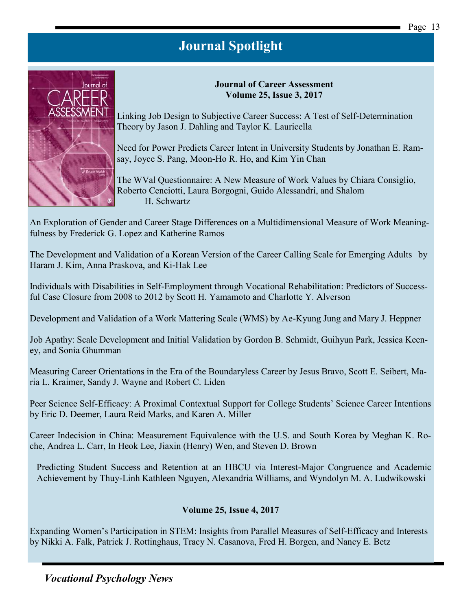

Linking Job Design to Subjective Career Success: A Test of Self-Determination Theory by Jason J. Dahling and Taylor K. Lauricella

**Journal of Career Assessment Volume 25, Issue 3, 2017** 

Need for Power Predicts Career Intent in University Students by Jonathan E. Ramsay, Joyce S. Pang, Moon-Ho R. Ho, and Kim Yin Chan

The WVal Questionnaire: A New Measure of Work Values by Chiara Consiglio, Roberto Cenciotti, Laura Borgogni, Guido Alessandri, and Shalom H. Schwartz

An Exploration of Gender and Career Stage Differences on a Multidimensional Measure of Work Meaningfulness by Frederick G. Lopez and Katherine Ramos

The Development and Validation of a Korean Version of the Career Calling Scale for Emerging Adults by Haram J. Kim, Anna Praskova, and Ki-Hak Lee

Individuals with Disabilities in Self-Employment through Vocational Rehabilitation: Predictors of Successful Case Closure from 2008 to 2012 by Scott H. Yamamoto and Charlotte Y. Alverson

Development and Validation of a Work Mattering Scale (WMS) by Ae-Kyung Jung and Mary J. Heppner

Job Apathy: Scale Development and Initial Validation by Gordon B. Schmidt, Guihyun Park, Jessica Keeney, and Sonia Ghumman

Measuring Career Orientations in the Era of the Boundaryless Career by Jesus Bravo, Scott E. Seibert, Maria L. Kraimer, Sandy J. Wayne and Robert C. Liden

Peer Science Self-Efficacy: A Proximal Contextual Support for College Students' Science Career Intentions by Eric D. Deemer, Laura Reid Marks, and Karen A. Miller

Career Indecision in China: Measurement Equivalence with the U.S. and South Korea by Meghan K. Roche, Andrea L. Carr, In Heok Lee, Jiaxin (Henry) Wen, and Steven D. Brown

Predicting Student Success and Retention at an HBCU via Interest-Major Congruence and Academic Achievement by Thuy-Linh Kathleen Nguyen, Alexandria Williams, and Wyndolyn M. A. Ludwikowski

#### **Volume 25, Issue 4, 2017**

Expanding Women's Participation in STEM: Insights from Parallel Measures of Self-Efficacy and Interests by Nikki A. Falk, Patrick J. Rottinghaus, Tracy N. Casanova, Fred H. Borgen, and Nancy E. Betz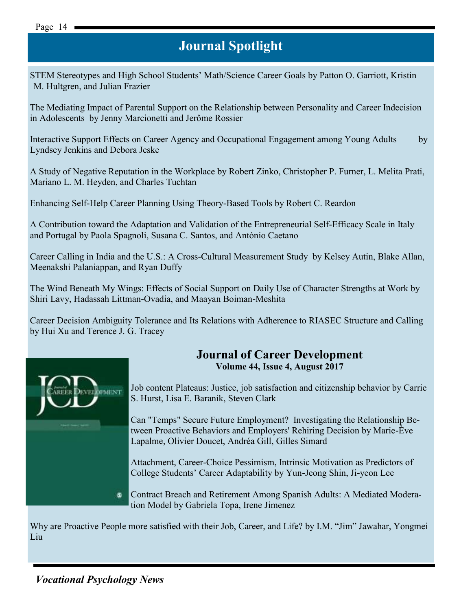#### Page 14

## **Journal Spotlight**

STEM Stereotypes and High School Students' Math/Science Career Goals by Patton O. Garriott, Kristin M. Hultgren, and Julian Frazier

The Mediating Impact of Parental Support on the Relationship between Personality and Career Indecision in Adolescents by Jenny Marcionetti and Jerôme Rossier

Interactive Support Effects on Career Agency and Occupational Engagement among Young Adults by Lyndsey Jenkins and Debora Jeske

A Study of Negative Reputation in the Workplace by Robert Zinko, Christopher P. Furner, L. Melita Prati, Mariano L. M. Heyden, and Charles Tuchtan

Enhancing Self-Help Career Planning Using Theory-Based Tools by Robert C. Reardon

A Contribution toward the Adaptation and Validation of the Entrepreneurial Self-Efficacy Scale in Italy and Portugal by Paola Spagnoli, Susana C. Santos, and António Caetano

Career Calling in India and the U.S.: A Cross-Cultural Measurement Study by Kelsey Autin, Blake Allan, Meenakshi Palaniappan, and Ryan Duffy

The Wind Beneath My Wings: Effects of Social Support on Daily Use of Character Strengths at Work by Shiri Lavy, Hadassah Littman-Ovadia, and Maayan Boiman-Meshita

Career Decision Ambiguity Tolerance and Its Relations with Adherence to RIASEC Structure and Calling by Hui Xu and Terence J. G. Tracey



#### **Journal of Career Development Volume 44, Issue 4, August 2017**

Job content Plateaus: Justice, job satisfaction and citizenship behavior by Carrie S. Hurst, Lisa E. Baranik, Steven Clark

Can "Temps" Secure Future Employment? Investigating the Relationship Between Proactive Behaviors and Employers' Rehiring Decision by Marie-Ève Lapalme, Olivier Doucet, Andréa Gill, Gilles Simard

Attachment, Career-Choice Pessimism, Intrinsic Motivation as Predictors of College Students' Career Adaptability by Yun-Jeong Shin, Ji-yeon Lee

Contract Breach and Retirement Among Spanish Adults: A Mediated Moderation Model by Gabriela Topa, Irene Jimenez

Why [are Proactive People](http://jcd.sagepub.com/content/current) more satisfied with their Job, Career, and Life? by I.M. "Jim" Jawahar, Yongmei Liu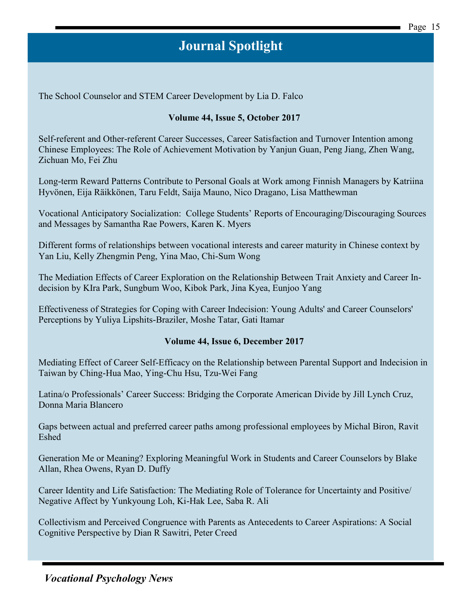The School Counselor and STEM Career Development by Lia D. Falco

#### **Volume 44, Issue 5, October 2017**

Self-referent and Other-referent Career Successes, Career Satisfaction and Turnover Intention among Chinese Employees: The Role of Achievement Motivation by Yanjun Guan, Peng Jiang, Zhen Wang, Zichuan Mo, Fei Zhu

Long-term Reward Patterns Contribute to Personal Goals at Work among Finnish Managers by Katriina Hyvönen, Eija Räikkönen, Taru Feldt, Saija Mauno, Nico Dragano, Lisa Matthewman

Vocational Anticipatory Socialization: College Students' Reports of Encouraging/Discouraging Sources and Messages by Samantha Rae Powers, Karen K. Myers

Different forms of relationships between vocational interests and career maturity in Chinese context by Yan Liu, Kelly Zhengmin Peng, Yina Mao, Chi-Sum Wong

The Mediation Effects of Career Exploration on the Relationship Between Trait Anxiety and Career Indecision by KIra Park, Sungbum Woo, Kibok Park, Jina Kyea, Eunjoo Yang

Effectiveness of Strategies for Coping with Career Indecision: Young Adults' and Career Counselors' Perceptions by Yuliya Lipshits-Braziler, Moshe Tatar, Gati Itamar

#### **Volume 44, Issue 6, December 2017**

Mediating Effect of Career Self-Efficacy on the Relationship between Parental Support and Indecision in Taiwan by Ching-Hua Mao, Ying-Chu Hsu, Tzu-Wei Fang

Latina/o Professionals' Career Success: Bridging the Corporate American Divide by Jill Lynch Cruz, Donna Maria Blancero

Gaps between actual and preferred career paths among professional employees by Michal Biron, Ravit Eshed

Generation Me or Meaning? Exploring Meaningful Work in Students and Career Counselors by Blake Allan, Rhea Owens, Ryan D. Duffy

Career Identity and Life Satisfaction: The Mediating Role of Tolerance for Uncertainty and Positive/ Negative Affect by Yunkyoung Loh, Ki-Hak Lee, Saba R. Ali

Collectivism and Perceived Congruence with Parents as Antecedents to Career Aspirations: A Social Cognitive Perspective by Dian R Sawitri, Peter Creed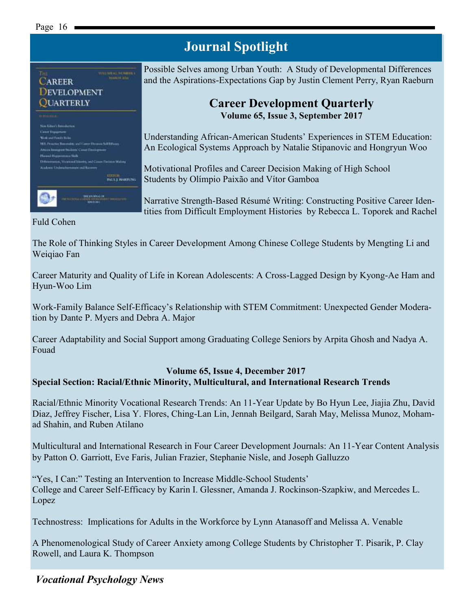#### Page 16



Possible Selves among Urban Youth: A Study of Developmental Differences and the Aspirations-Expectations Gap by Justin Clement Perry, Ryan Raeburn

#### **Career Development Quarterly Volume 65, Issue 3, September 2017**

Understanding African-American Students' Experiences in STEM Education: An Ecological Systems Approach by Natalie Stipanovic and Hongryun Woo

Motivational Profiles and Career Decision Making of High School Students by Olímpio Paixão and Vítor Gamboa

Narrative Strength-Based Résumé Writing: Constructing Positive Career Identities from Difficult Employment Histories by Rebecca L. Toporek and Rachel

#### Fuld Cohen

The Role of Thinking Styles in Career Development Among Chinese College Students by Mengting Li and Weiqiao Fan

**Journal Spotlight**

Career Maturity and Quality of Life in Korean Adolescents: A Cross-Lagged Design by Kyong-Ae Ham and Hyun-Woo Lim

Work-Family Balance Self-Efficacy's Relationship with STEM Commitment: Unexpected Gender Moderation by Dante P. Myers and Debra A. Major

Career Adaptability and Social Support among Graduating College Seniors by Arpita Ghosh and Nadya A. Fouad

#### **Volume 65, Issue 4, December 2017 Special Section: Racial/Ethnic Minority, Multicultural, and International Research Trends**

Racial/Ethnic Minority Vocational Research Trends: An 11-Year Update by Bo Hyun Lee, Jiajia Zhu, David Diaz, Jeffrey Fischer, Lisa Y. Flores, Ching-Lan Lin, Jennah Beilgard, Sarah May, Melissa Munoz, Mohamad Shahin, and Ruben Atilano

Multicultural and International Research in Four Career Development Journals: An 11-Year Content Analysis by Patton O. Garriott, Eve Faris, Julian Frazier, Stephanie Nisle, and Joseph Galluzzo

"Yes, I Can:" Testing an Intervention to Increase Middle-School Students' College and Career Self-Efficacy by Karin I. Glessner, Amanda J. Rockinson-Szapkiw, and Mercedes L. Lopez

Technostress: Implications for Adults in the Workforce by Lynn Atanasoff and Melissa A. Venable

A Phenomenological Study of Career Anxiety among College Students by Christopher T. Pisarik, P. Clay Rowell, and Laura K. Thompson

#### *Vocational Psychology News*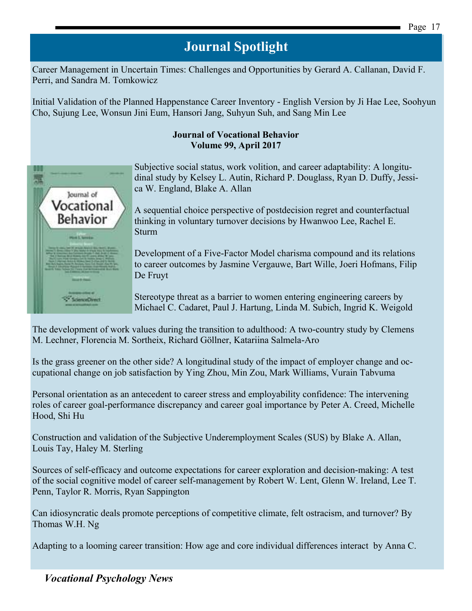Career Management in Uncertain Times: Challenges and Opportunities by Gerard A. Callanan, David F. Perri, and Sandra M. Tomkowicz

Initial Validation of the Planned Happenstance Career Inventory - English Version by Ji Hae Lee, Soohyun Cho, Sujung Lee, Wonsun Jini Eum, Hansori Jang, Suhyun Suh, and Sang Min Lee

#### **Journal of Vocational Behavior Volume 99, April 2017**



[Subjective social status, work volition, and career adaptability: A longitu](http://www.sciencedirect.com/science/article/pii/S0001879116300999)[dinal study](http://www.sciencedirect.com/science/article/pii/S0001879116300999) by Kelsey L. Autin, Richard P. Douglass, Ryan D. Duffy, Jessica W. England, Blake A. Allan

[A sequential choice perspective of postdecision regret and counterfactual](http://www.sciencedirect.com/science/article/pii/S0001879116301038)  [thinking in voluntary turnover decisions](http://www.sciencedirect.com/science/article/pii/S0001879116301038) by Hwanwoo Lee, Rachel E. Sturm

[Development of a Five-Factor Model charisma compound and its relations](http://www.sciencedirect.com/science/article/pii/S0001879116301026)  [to career outcomes](http://www.sciencedirect.com/science/article/pii/S0001879116301026) by Jasmine Vergauwe, Bart Wille, Joeri Hofmans, Filip De Fruyt

[Stereotype threat as a barrier to women entering engineering careers](http://www.sciencedirect.com/science/article/pii/S0001879116301014) by Michael C. Cadaret, Paul J. Hartung, Linda M. Subich, Ingrid K. Weigold

[The development of work values during the transition to adulthood: A two-country study](http://www.sciencedirect.com/science/article/pii/S000187911630104X) by Clemens M. Lechner, Florencia M. Sortheix, Richard Göllner, Katariina Salmela-Aro

[Is the grass greener on the other side? A longitudinal study of the impact of employer change and oc](http://www.sciencedirect.com/science/article/pii/S0001879116300975)[cupational change on job satisfaction](http://www.sciencedirect.com/science/article/pii/S0001879116300975) by Ying Zhou, Min Zou, Mark Williams, Vurain Tabvuma

[Personal orientation as an antecedent to career stress and employability confidence: The intervening](http://www.sciencedirect.com/science/article/pii/S0001879116301142)  [roles of career goal-performance discrepancy and career goal importance](http://www.sciencedirect.com/science/article/pii/S0001879116301142) by Peter A. Creed, Michelle Hood, Shi Hu

[Construction and validation of the Subjective Underemployment Scales \(SUS\)](http://www.sciencedirect.com/science/article/pii/S0001879117300027) by Blake A. Allan, Louis Tay, Haley M. Sterling

[Sources of self-efficacy and outcome expectations for career exploration and decision-making: A test](http://www.sciencedirect.com/science/article/pii/S0001879117300015)  [of the social cognitive model of career self-management](http://www.sciencedirect.com/science/article/pii/S0001879117300015) by Robert W. Lent, Glenn W. Ireland, Lee T. Penn, Taylor R. Morris, Ryan Sappington

[Can idiosyncratic deals promote perceptions of competitive climate, felt ostracism, and turnover?](http://www.sciencedirect.com/science/article/pii/S0001879117300040) By Thomas W.H. Ng

[Adapting to a looming career transition: How age and core individual differences interact](http://www.sciencedirect.com/science/article/pii/S0001879116301130) by Anna C.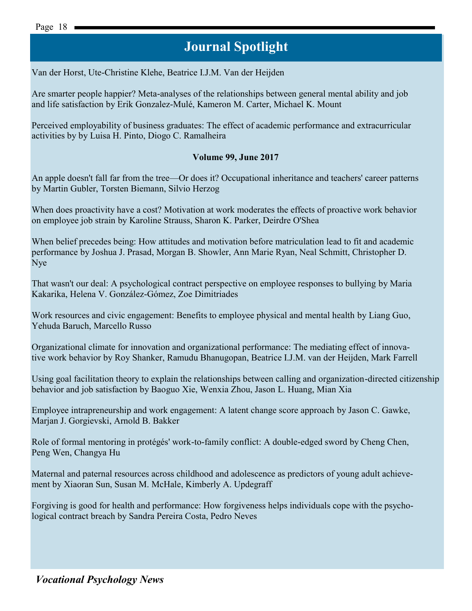Van der Horst, Ute-Christine Klehe, Beatrice I.J.M. Van der Heijden

[Are smarter people happier? Meta-analyses of the relationships between general mental ability and job](http://www.sciencedirect.com/science/article/pii/S0001879117300039)  [and life satisfaction](http://www.sciencedirect.com/science/article/pii/S0001879117300039) by Erik Gonzalez-Mulé, Kameron M. Carter, Michael K. Mount

Perceived employability of business graduates: The effect of academic performance and extracurricular activities by by Luisa H. Pinto, Diogo C. Ramalheira

#### **Volume 99, June 2017**

[An apple doesn't fall far from the tree—Or does it? Occupational inheritance and teachers' career patterns](http://www.sciencedirect.com/science/article/pii/S0001879117300131) by Martin Gubler, Torsten Biemann, Silvio Herzog

[When does proactivity have a cost? Motivation at work moderates the effects of proactive work behavior](http://www.sciencedirect.com/science/article/pii/S0001879117300064)  [on employee job strain](http://www.sciencedirect.com/science/article/pii/S0001879117300064) by Karoline Strauss, Sharon K. Parker, Deirdre O'Shea

[When belief precedes being: How attitudes and motivation before matriculation lead to fit and academic](http://www.sciencedirect.com/science/article/pii/S0001879117300155)  [performance](http://www.sciencedirect.com/science/article/pii/S0001879117300155) by Joshua J. Prasad, Morgan B. Showler, Ann Marie Ryan, Neal Schmitt, Christopher D. Nye

[That wasn't our deal: A psychological contract perspective on employee responses to bullying](http://www.sciencedirect.com/science/article/pii/S0001879117300167) by Maria Kakarika, Helena V. González-Gómez, Zoe Dimitriades

[Work resources and civic engagement: Benefits to employee physical and mental health](http://www.sciencedirect.com/science/article/pii/S0001879117300180) by Liang Guo, Yehuda Baruch, Marcello Russo

[Organizational climate for innovation and organizational performance: The mediating effect of innova](http://www.sciencedirect.com/science/article/pii/S0001879117300143)[tive work behavior](http://www.sciencedirect.com/science/article/pii/S0001879117300143) by Roy Shanker, Ramudu Bhanugopan, Beatrice I.J.M. van der Heijden, Mark Farrell

[Using goal facilitation theory to explain the relationships between calling and organization-directed citizenship](http://www.sciencedirect.com/science/article/pii/S0001879117300192)  [behavior and job satisfaction](http://www.sciencedirect.com/science/article/pii/S0001879117300192) by Baoguo Xie, Wenxia Zhou, Jason L. Huang, Mian Xia

[Employee intrapreneurship and work engagement: A latent change score approach](http://www.sciencedirect.com/science/article/pii/S0001879117300209) by Jason C. Gawke, Marjan J. Gorgievski, Arnold B. Bakker

[Role of formal mentoring in protégés' work-to-family conflict: A double-edged sword](http://www.sciencedirect.com/science/article/pii/S0001879117300222) by Cheng Chen, Peng Wen, Changya Hu

[Maternal and paternal resources across childhood and adolescence as predictors of young adult achieve](http://www.sciencedirect.com/science/article/pii/S0001879117300210)[ment](http://www.sciencedirect.com/science/article/pii/S0001879117300210) by Xiaoran Sun, Susan M. McHale, Kimberly A. Updegraff

[Forgiving is good for health and performance: How forgiveness helps individuals cope with the psycho](http://www.sciencedirect.com/science/article/pii/S0001879117300234)[logical contract breach](http://www.sciencedirect.com/science/article/pii/S0001879117300234) by Sandra Pereira Costa, Pedro Neves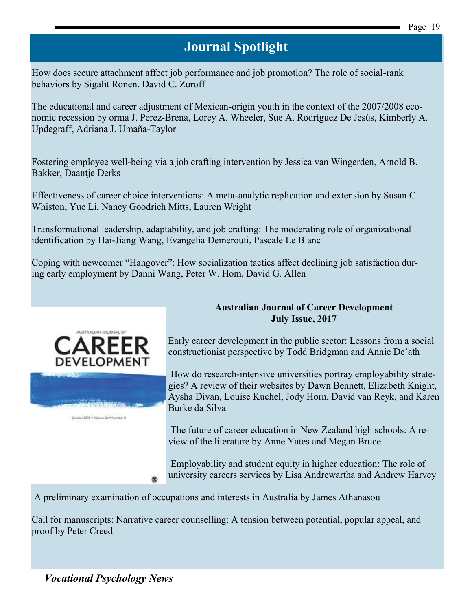[How does secure attachment affect job performance and job promotion? The role of social-rank](http://www.sciencedirect.com/science/article/pii/S0001879117300246)  [behaviors](http://www.sciencedirect.com/science/article/pii/S0001879117300246) by Sigalit Ronen, David C. Zuroff

[The educational and career adjustment of Mexican-origin youth in the context of the 2007/2008 eco](http://www.sciencedirect.com/science/article/pii/S0001879117300179)[nomic recession](http://www.sciencedirect.com/science/article/pii/S0001879117300179) by orma J. Perez-Brena, Lorey A. Wheeler, Sue A. Rodríguez De Jesús, Kimberly A. Updegraff, Adriana J. Umaña-Taylor

[Fostering employee well-being via a job crafting intervention](http://www.sciencedirect.com/science/article/pii/S000187911730026X) by Jessica van Wingerden, Arnold B. Bakker, Daantje Derks

[Effectiveness of career choice interventions: A meta-analytic replication and extension](http://www.sciencedirect.com/science/article/pii/S0001879117300283) by Susan C. Whiston, Yue Li, Nancy Goodrich Mitts, Lauren Wright

[Transformational leadership, adaptability, and job crafting: The moderating role of organizational](http://www.sciencedirect.com/science/article/pii/S0001879117300271)  [identification](http://www.sciencedirect.com/science/article/pii/S0001879117300271) by Hai-Jiang Wang, Evangelia Demerouti, Pascale Le Blanc

[Coping with newcomer "Hangover": How socialization tactics affect declining job satisfaction dur](http://www.sciencedirect.com/science/article/pii/S0001879117300258)[ing early employment](http://www.sciencedirect.com/science/article/pii/S0001879117300258) by Danni Wang, Peter W. Hom, David G. Allen



October 2015 . Volume 24 . Number 3

**Australian Journal of Career Development July Issue, 2017**

Early career development in the public sector: Lessons from a social constructionist perspective by Todd Bridgman and Annie De'ath

How do research-intensive universities portray employability strategies? A review of their websites by Dawn Bennett, Elizabeth Knight, Aysha Divan, Louise Kuchel, Jody Horn, David van Reyk, and Karen Burke da Silva

The future of career education in New Zealand high schools: A review of the literature by Anne Yates and Megan Bruce

Employability and student equity in higher education: The role of university careers services by Lisa Andrewartha and Andrew Harvey

A preliminary examination of occupations and interests in Australia by James Athanasou

Call for manuscripts: Narrative career counselling: A tension between potential, popular appeal, and proof by Peter Creed

*Vocational Psychology News*